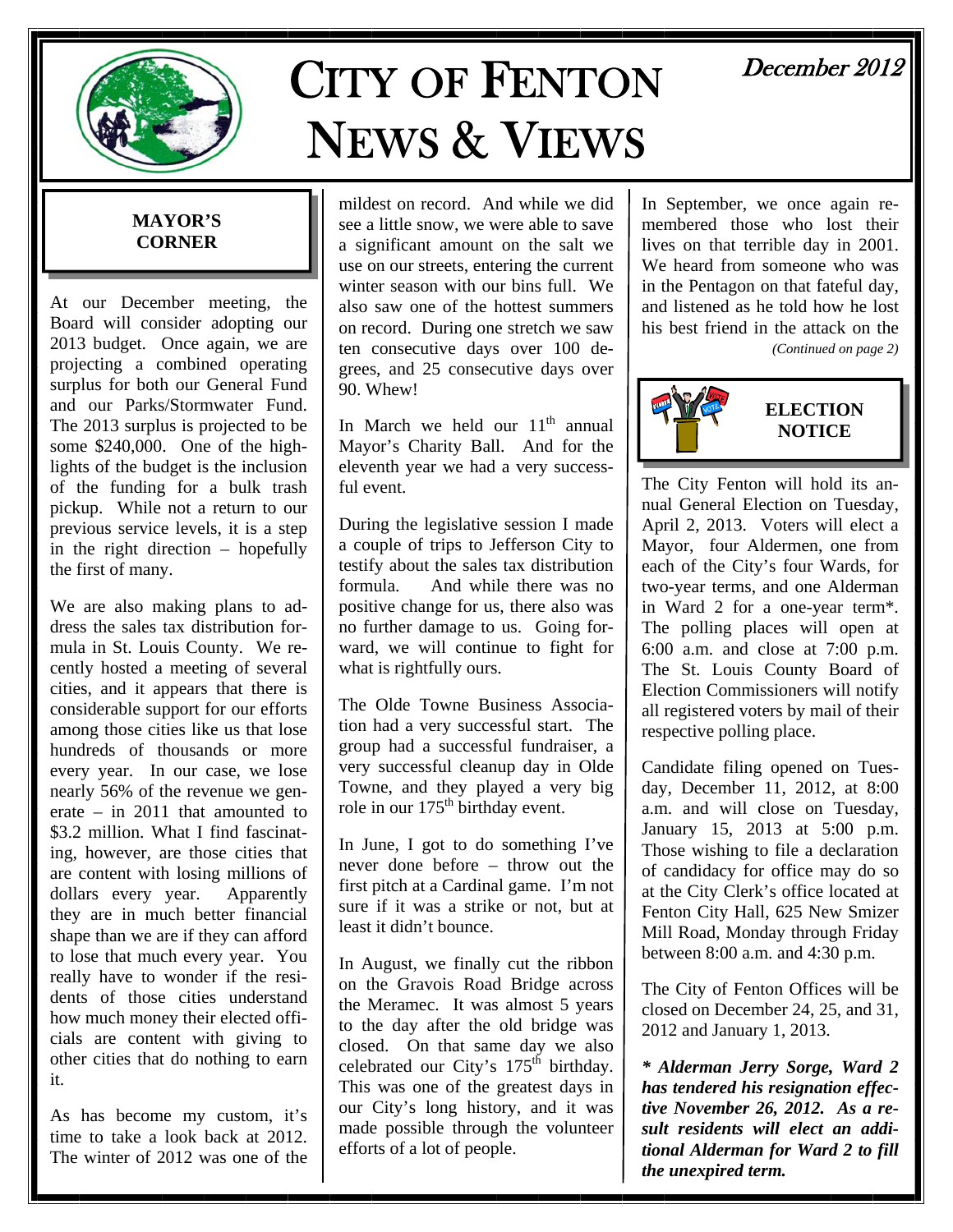

# CITY OF FENTON NEWS & VIEWS

# December 2012

# **MAYOR'S CORNER**

At our December meeting, the Board will consider adopting our 2013 budget. Once again, we are projecting a combined operating surplus for both our General Fund and our Parks/Stormwater Fund. The 2013 surplus is projected to be some \$240,000. One of the highlights of the budget is the inclusion of the funding for a bulk trash pickup. While not a return to our previous service levels, it is a step in the right direction – hopefully the first of many.

We are also making plans to address the sales tax distribution formula in St. Louis County. We recently hosted a meeting of several cities, and it appears that there is considerable support for our efforts among those cities like us that lose hundreds of thousands or more every year. In our case, we lose nearly 56% of the revenue we generate – in 2011 that amounted to \$3.2 million. What I find fascinating, however, are those cities that are content with losing millions of dollars every year. Apparently they are in much better financial shape than we are if they can afford to lose that much every year. You really have to wonder if the residents of those cities understand how much money their elected officials are content with giving to other cities that do nothing to earn it.

As has become my custom, it's time to take a look back at 2012. The winter of 2012 was one of the

mildest on record. And while we did see a little snow, we were able to save a significant amount on the salt we use on our streets, entering the current winter season with our bins full. We also saw one of the hottest summers on record. During one stretch we saw ten consecutive days over 100 degrees, and 25 consecutive days over 90. Whew!

In March we held our  $11<sup>th</sup>$  annual Mayor's Charity Ball. And for the eleventh year we had a very successful event.

During the legislative session I made a couple of trips to Jefferson City to testify about the sales tax distribution formula. And while there was no positive change for us, there also was no further damage to us. Going forward, we will continue to fight for what is rightfully ours.

The Olde Towne Business Association had a very successful start. The group had a successful fundraiser, a very successful cleanup day in Olde Towne, and they played a very big role in our 175<sup>th</sup> birthday event.

In June, I got to do something I've never done before – throw out the first pitch at a Cardinal game. I'm not sure if it was a strike or not, but at least it didn't bounce.

In August, we finally cut the ribbon on the Gravois Road Bridge across the Meramec. It was almost 5 years to the day after the old bridge was closed. On that same day we also celebrated our City's  $175<sup>th</sup>$  birthday. This was one of the greatest days in our City's long history, and it was made possible through the volunteer efforts of a lot of people.

In September, we once again remembered those who lost their lives on that terrible day in 2001. We heard from someone who was in the Pentagon on that fateful day, and listened as he told how he lost his best friend in the attack on the *(Continued on page 2)* 



The City Fenton will hold its annual General Election on Tuesday, April 2, 2013. Voters will elect a Mayor, four Aldermen, one from each of the City's four Wards, for two-year terms, and one Alderman in Ward 2 for a one-year term\*. The polling places will open at 6:00 a.m. and close at 7:00 p.m. The St. Louis County Board of Election Commissioners will notify all registered voters by mail of their respective polling place.

Candidate filing opened on Tuesday, December 11, 2012, at 8:00 a.m. and will close on Tuesday, January 15, 2013 at 5:00 p.m. Those wishing to file a declaration of candidacy for office may do so at the City Clerk's office located at Fenton City Hall, 625 New Smizer Mill Road, Monday through Friday between 8:00 a.m. and 4:30 p.m.

The City of Fenton Offices will be closed on December 24, 25, and 31, 2012 and January 1, 2013.

*\* Alderman Jerry Sorge, Ward 2 has tendered his resignation effective November 26, 2012. As a result residents will elect an additional Alderman for Ward 2 to fill the unexpired term.*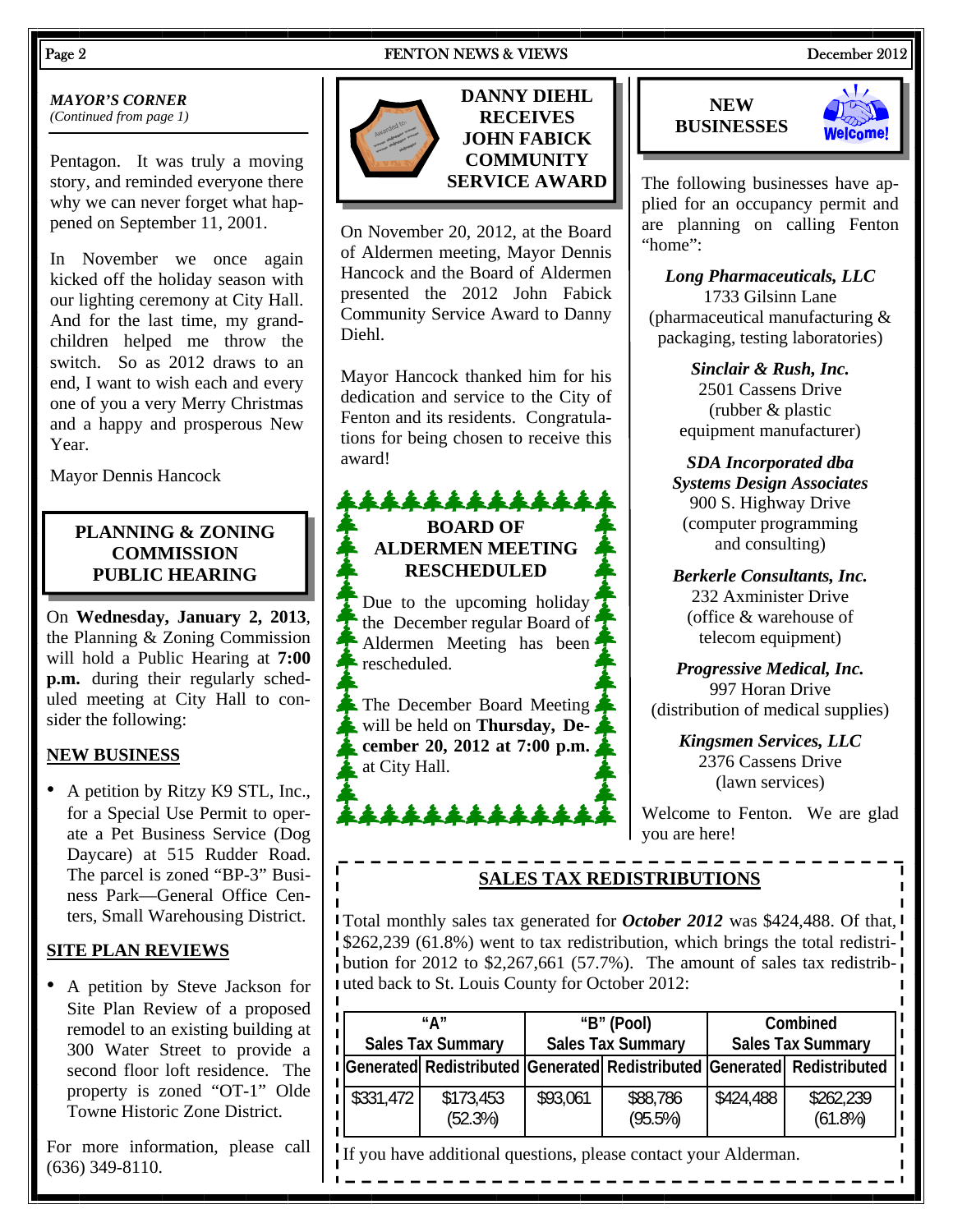#### Page 2 **FENTON NEWS & VIEWS** December 2012

# *MAYOR'S CORNER*

*(Continued from page 1)* 

Pentagon. It was truly a moving story, and reminded everyone there why we can never forget what happened on September 11, 2001.

In November we once again kicked off the holiday season with our lighting ceremony at City Hall. And for the last time, my grandchildren helped me throw the switch. So as 2012 draws to an end, I want to wish each and every one of you a very Merry Christmas and a happy and prosperous New Year.

Mayor Dennis Hancock

# **PLANNING & ZONING COMMISSION PUBLIC HEARING**

On **Wednesday, January 2, 2013**, the Planning & Zoning Commission will hold a Public Hearing at **7:00 p.m.** during their regularly scheduled meeting at City Hall to consider the following:

# **NEW BUSINESS**

• A petition by Ritzy K9 STL, Inc., for a Special Use Permit to operate a Pet Business Service (Dog Daycare) at 515 Rudder Road. The parcel is zoned "BP-3" Business Park—General Office Centers, Small Warehousing District.

# **SITE PLAN REVIEWS**

• A petition by Steve Jackson for Site Plan Review of a proposed remodel to an existing building at 300 Water Street to provide a second floor loft residence. The property is zoned "OT-1" Olde Towne Historic Zone District.

For more information, please call (636) 349-8110.

**DANNY DIEHL RECEIVES JOHN FABICK COMMUNITY SERVICE AWARD** 

On November 20, 2012, at the Board of Aldermen meeting, Mayor Dennis Hancock and the Board of Aldermen presented the 2012 John Fabick Community Service Award to Danny Diehl.

Mayor Hancock thanked him for his dedication and service to the City of Fenton and its residents. Congratulations for being chosen to receive this award!

# \*\*\*\*\*\*\*\*\*\* **BOARD OF ALDERMEN MEETING RESCHEDULED**

Due to the upcoming holiday the December regular Board of Aldermen Meeting has been  $\clubsuit$  rescheduled.

**The December Board Meeting** will be held on **Thursday, December 20, 2012 at 7:00 p.m.** at City Hall.

\*\*\*\*\*\*





The following businesses have applied for an occupancy permit and are planning on calling Fenton "home":

*Long Pharmaceuticals, LLC*  1733 Gilsinn Lane (pharmaceutical manufacturing & packaging, testing laboratories)

> *Sinclair & Rush, Inc.*  2501 Cassens Drive (rubber & plastic equipment manufacturer)

*SDA Incorporated dba Systems Design Associates*  900 S. Highway Drive (computer programming and consulting)

*Berkerle Consultants, Inc.*  232 Axminister Drive (office & warehouse of telecom equipment)

*Progressive Medical, Inc.*  997 Horan Drive (distribution of medical supplies)

> *Kingsmen Services, LLC*  2376 Cassens Drive (lawn services)

Welcome to Fenton. We are glad you are here!

# **SALES TAX REDISTRIBUTIONS**

Total monthly sales tax generated for *October 2012* was \$424,488. Of that, \$262,239 (61.8%) went to tax redistribution, which brings the total redistribution for 2012 to \$2,267,661 (57.7%). The amount of sales tax redistributed back to St. Louis County for October 2012:

|           | "∆″<br><b>Sales Tax Summary</b> | "B" (Pool)<br><b>Sales Tax Summary</b> |                        | Combined<br><b>Sales Tax Summary</b> |                                                                                      |
|-----------|---------------------------------|----------------------------------------|------------------------|--------------------------------------|--------------------------------------------------------------------------------------|
|           |                                 |                                        |                        |                                      | Generated  Redistributed   Generated   Redistributed   Generated   Redistributed   I |
| \$331,472 | \$173,453<br>(52.3%)            | \$93,061                               | \$88,786<br>$(95.5\%)$ | \$424,488                            | \$262,239<br>$(61.8\%)$                                                              |

If you have additional questions, please contact your Alderman.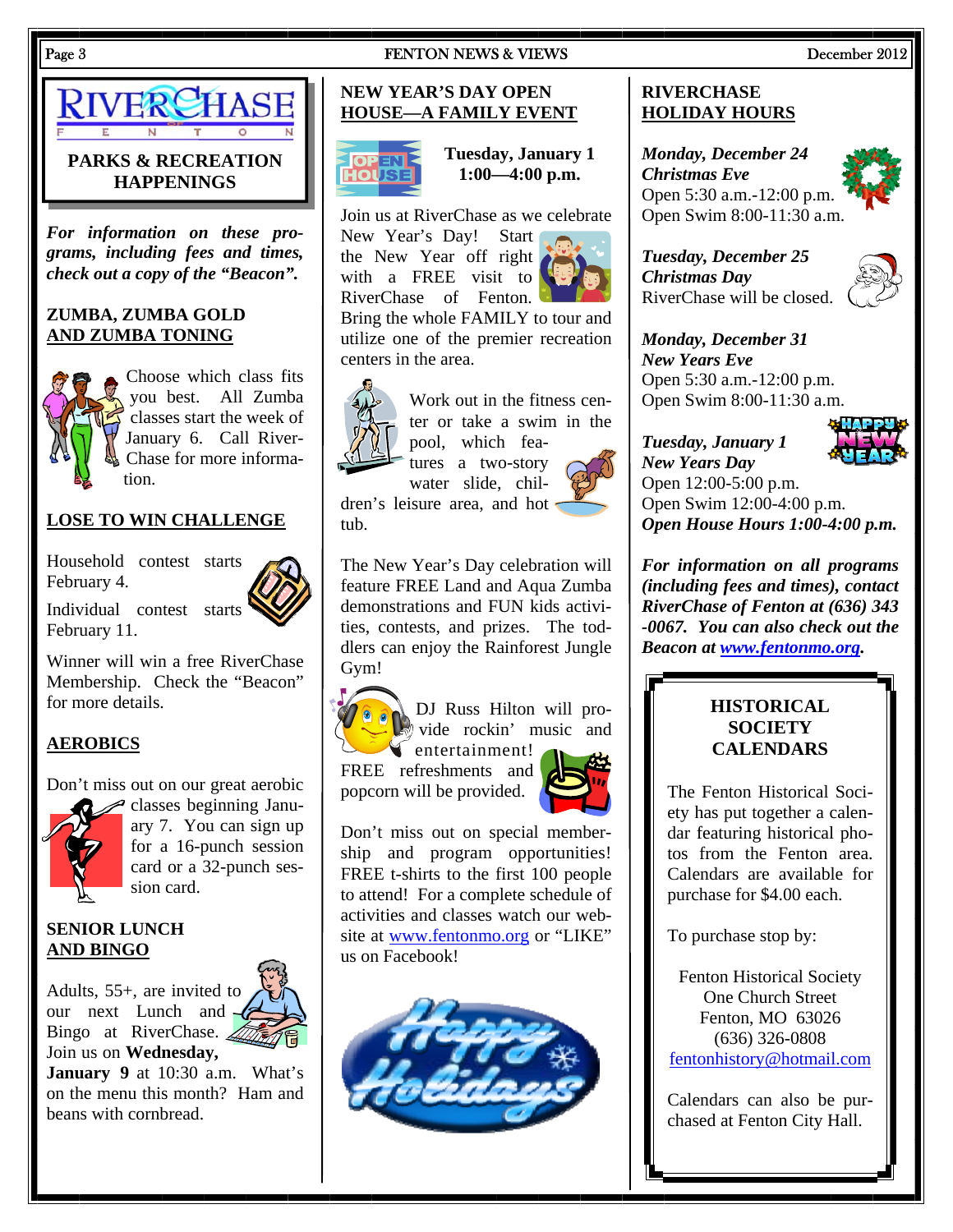

# **PARKS & RECREATION HAPPENINGS**

*For information on these programs, including fees and times, check out a copy of the "Beacon".* 

# **ZUMBA, ZUMBA GOLD AND ZUMBA TONING**



Choose which class fits you best. All Zumba classes start the week of January 6. Call River-Chase for more information.

# **LOSE TO WIN CHALLENGE**

Household contest starts February 4.

Individual contest starts February 11.

Winner will win a free RiverChase Membership. Check the "Beacon" for more details.

# **AEROBICS**

Don't miss out on our great aerobic



classes beginning January 7. You can sign up for a 16-punch session card or a 32-punch session card.

# **SENIOR LUNCH AND BINGO**

Adults, 55+, are invited to our next Lunch and Bingo at RiverChase. Join us on **Wednesday,** 

**January 9** at 10:30 a.m. What's on the menu this month? Ham and beans with cornbread.

#### **NEW YEAR'S DAY OPEN HOUSE—A FAMILY EVENT**



**Tuesday, January 1 1:00—4:00 p.m.** 

Join us at RiverChase as we celebrate New Year's Day! Start

the New Year off right with a FREE visit to RiverChase of Fenton.

Bring the whole FAMILY to tour and utilize one of the premier recreation centers in the area.



Work out in the fitness center or take a swim in the pool, which fea-

tures a two-story water slide, chil-

dren's leisure area, and hot tub.

The New Year's Day celebration will feature FREE Land and Aqua Zumba demonstrations and FUN kids activities, contests, and prizes. The toddlers can enjoy the Rainforest Jungle Gym!



DJ Russ Hilton will provide rockin' music and  $\blacktriangleright$  entertainment!

FREE refreshments and popcorn will be provided.



Don't miss out on special membership and program opportunities! FREE t-shirts to the first 100 people to attend! For a complete schedule of activities and classes watch our website at www.fentonmo.org or "LIKE" us on Facebook!



#### **RIVERCHASE HOLIDAY HOURS**

*Monday, December 24 Christmas Eve*  Open 5:30 a.m.-12:00 p.m. Open Swim 8:00-11:30 a.m.

*Tuesday, December 25 Christmas Day*  RiverChase will be closed.



*Monday, December 31 New Years Eve*  Open 5:30 a.m.-12:00 p.m. Open Swim 8:00-11:30 a.m.



*Tuesday, January 1 New Years Day*  Open 12:00-5:00 p.m. Open Swim 12:00-4:00 p.m. *Open House Hours 1:00-4:00 p.m.* 

*For information on all programs (including fees and times), contact RiverChase of Fenton at (636) 343 -0067. You can also check out the Beacon at www.fentonmo.org.*

# **HISTORICAL SOCIETY CALENDARS**

The Fenton Historical Society has put together a calendar featuring historical photos from the Fenton area. Calendars are available for purchase for \$4.00 each.

To purchase stop by:

Fenton Historical Society One Church Street Fenton, MO 63026 (636) 326-0808 fentonhistory@hotmail.com

Calendars can also be purchased at Fenton City Hall.

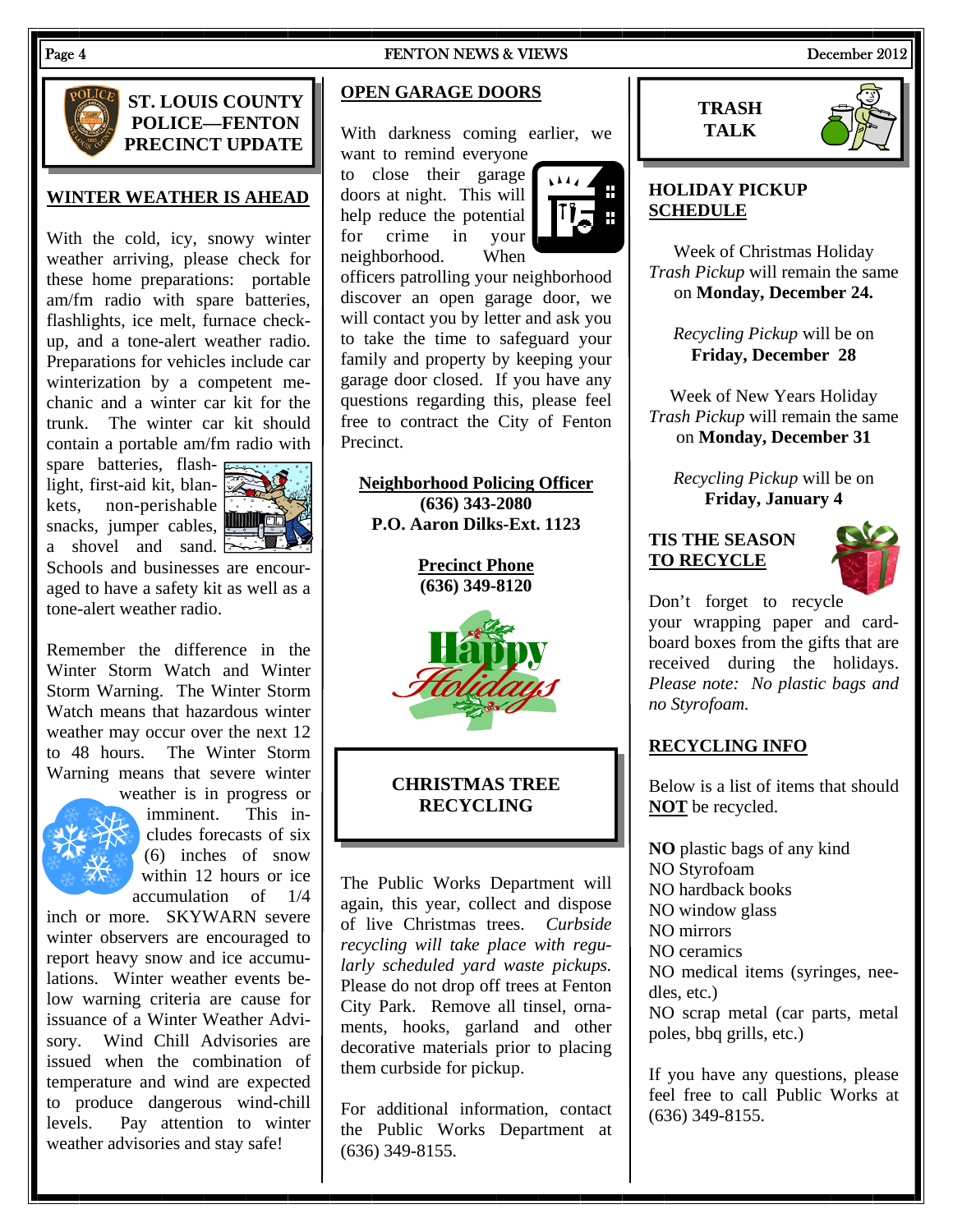#### Page 4 **FENTON NEWS & VIEWS** December 2012



# **ST. LOUIS COUNTY POLICE—FENTON PRECINCT UPDATE**

# **WINTER WEATHER IS AHEAD**

With the cold, icy, snowy winter weather arriving, please check for these home preparations: portable am/fm radio with spare batteries, flashlights, ice melt, furnace checkup, and a tone-alert weather radio. Preparations for vehicles include car winterization by a competent mechanic and a winter car kit for the trunk. The winter car kit should contain a portable am/fm radio with

spare batteries, flash- $\overline{F}$ light, first-aid kit, blankets, non-perishable snacks, jumper cables, a shovel and sand  $\approx$ 



Schools and businesses are encouraged to have a safety kit as well as a tone-alert weather radio.

Remember the difference in the Winter Storm Watch and Winter Storm Warning. The Winter Storm Watch means that hazardous winter weather may occur over the next 12 to 48 hours. The Winter Storm Warning means that severe winter



weather is in progress or imminent. This includes forecasts of six (6) inches of snow within 12 hours or ice accumulation of 1/4

inch or more. SKYWARN severe winter observers are encouraged to report heavy snow and ice accumulations. Winter weather events below warning criteria are cause for issuance of a Winter Weather Advisory. Wind Chill Advisories are issued when the combination of temperature and wind are expected to produce dangerous wind-chill levels. Pay attention to winter weather advisories and stay safe!

# **OPEN GARAGE DOORS**

With darkness coming earlier, we want to remind everyone

to close their garage doors at night. This will help reduce the potential for crime in your neighborhood. When



officers patrolling your neighborhood discover an open garage door, we will contact you by letter and ask you to take the time to safeguard your family and property by keeping your garage door closed. If you have any questions regarding this, please feel free to contract the City of Fenton Precinct.

**Neighborhood Policing Officer (636) 343-2080 P.O. Aaron Dilks-Ext. 1123** 

> **Precinct Phone (636) 349-8120**



# **CHRISTMAS TREE RECYCLING**

The Public Works Department will again, this year, collect and dispose of live Christmas trees. *Curbside recycling will take place with regularly scheduled yard waste pickups.*  Please do not drop off trees at Fenton City Park. Remove all tinsel, ornaments, hooks, garland and other decorative materials prior to placing them curbside for pickup.

For additional information, contact the Public Works Department at (636) 349-8155.





# **HOLIDAY PICKUP SCHEDULE**

Week of Christmas Holiday *Trash Pickup* will remain the same on **Monday, December 24.** 

*Recycling Pickup* will be on **Friday, December 28** 

Week of New Years Holiday *Trash Pickup* will remain the same on **Monday, December 31** 

*Recycling Pickup* will be on **Friday, January 4** 

**TIS THE SEASON TO RECYCLE**



Don't forget to recycle your wrapping paper and cardboard boxes from the gifts that are received during the holidays. *Please note: No plastic bags and no Styrofoam.* 

#### **RECYCLING INFO**

Below is a list of items that should **NOT** be recycled.

**NO** plastic bags of any kind NO Styrofoam NO hardback books NO window glass NO mirrors NO ceramics NO medical items (syringes, needles, etc.) NO scrap metal (car parts, metal poles, bbq grills, etc.)

If you have any questions, please feel free to call Public Works at (636) 349-8155.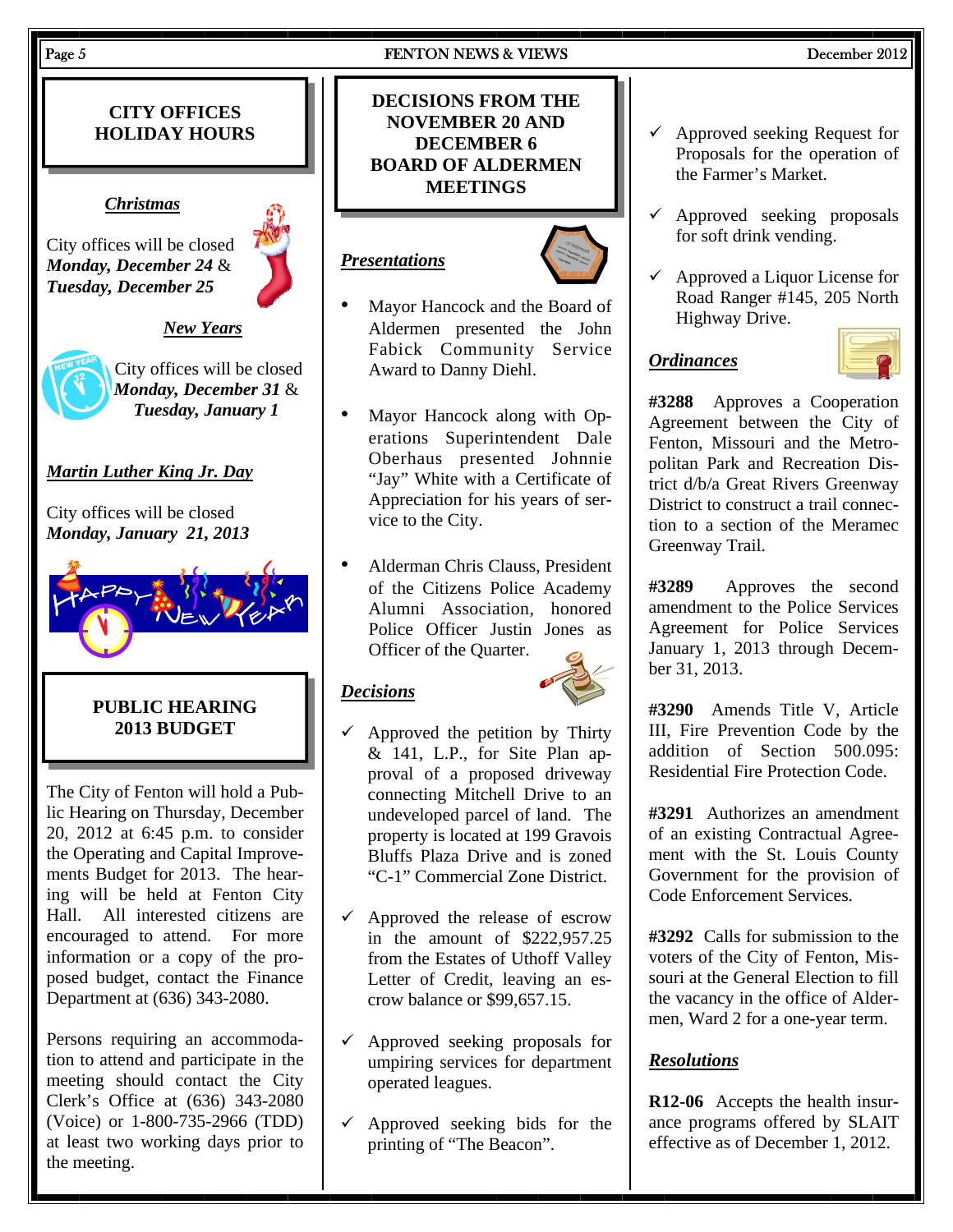#### Page 5 **FENTON NEWS & VIEWS** December 2012

# **CITY OFFICES HOLIDAY HOURS**

#### *Christmas*

City offices will be closed *Monday, December 24* & *Tuesday, December 25* 



#### *New Years*



City offices will be closed *Monday, December 31* & *Tuesday, January 1* 

# *Martin Luther King Jr. Day*

City offices will be closed *Monday, January 21, 2013* 



# **PUBLIC HEARING 2013 BUDGET**

The City of Fenton will hold a Public Hearing on Thursday, December 20, 2012 at 6:45 p.m. to consider the Operating and Capital Improvements Budget for 2013. The hearing will be held at Fenton City Hall. All interested citizens are encouraged to attend. For more information or a copy of the proposed budget, contact the Finance Department at (636) 343-2080.

Persons requiring an accommodation to attend and participate in the meeting should contact the City Clerk's Office at (636) 343-2080 (Voice) or 1-800-735-2966 (TDD) at least two working days prior to the meeting.

# **DECISIONS FROM THE NOVEMBER 20 AND DECEMBER 6 BOARD OF ALDERMEN MEETINGS**

# *Presentations*



- Mayor Hancock and the Board of Aldermen presented the John Fabick Community Service Award to Danny Diehl.
- Mayor Hancock along with Operations Superintendent Dale Oberhaus presented Johnnie "Jay" White with a Certificate of Appreciation for his years of service to the City.
- Alderman Chris Clauss, President of the Citizens Police Academy Alumni Association, honored Police Officer Justin Jones as Officer of the Quarter.

#### *Decisions*



- Approved the petition by Thirty  $& 141$ , L.P., for Site Plan approval of a proposed driveway connecting Mitchell Drive to an undeveloped parcel of land. The property is located at 199 Gravois Bluffs Plaza Drive and is zoned "C-1" Commercial Zone District.
- $\checkmark$  Approved the release of escrow in the amount of \$222,957.25 from the Estates of Uthoff Valley Letter of Credit, leaving an escrow balance or \$99,657.15.
- $\checkmark$  Approved seeking proposals for umpiring services for department operated leagues.
- $\checkmark$  Approved seeking bids for the printing of "The Beacon".
- $\checkmark$  Approved seeking Request for Proposals for the operation of the Farmer's Market.
- $\checkmark$  Approved seeking proposals for soft drink vending.
- $\checkmark$  Approved a Liquor License for Road Ranger #145, 205 North Highway Drive.

# *Ordinances*



**#3288** Approves a Cooperation Agreement between the City of Fenton, Missouri and the Metropolitan Park and Recreation District d/b/a Great Rivers Greenway District to construct a trail connection to a section of the Meramec Greenway Trail.

**#3289** Approves the second amendment to the Police Services Agreement for Police Services January 1, 2013 through December 31, 2013.

**#3290** Amends Title V, Article III, Fire Prevention Code by the addition of Section 500.095: Residential Fire Protection Code.

**#3291** Authorizes an amendment of an existing Contractual Agreement with the St. Louis County Government for the provision of Code Enforcement Services.

**#3292** Calls for submission to the voters of the City of Fenton, Missouri at the General Election to fill the vacancy in the office of Aldermen, Ward 2 for a one-year term.

#### *Resolutions*

**R12-06** Accepts the health insurance programs offered by SLAIT effective as of December 1, 2012.